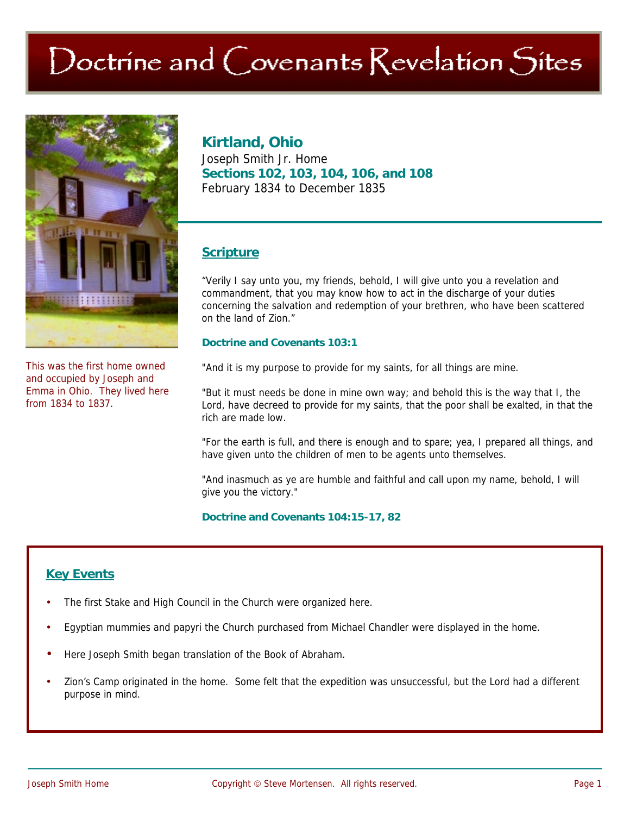# Doctrine and Covenants Revelation Sites



This was the first home owned and occupied by Joseph and Emma in Ohio. They lived here from 1834 to 1837.

## **Kirtland, Ohio**

Joseph Smith Jr. Home **Sections 102, 103, 104, 106, and 108**  February 1834 to December 1835

## **Scripture**

"Verily I say unto you, my friends, behold, I will give unto you a revelation and commandment, that you may know how to act in the discharge of your duties concerning the salvation and redemption of your brethren, who have been scattered on the land of Zion."

#### **Doctrine and Covenants 103:1**

"And it is my purpose to provide for my saints, for all things are mine.

"But it must needs be done in mine own way; and behold this is the way that I, the Lord, have decreed to provide for my saints, that the poor shall be exalted, in that the rich are made low.

"For the earth is full, and there is enough and to spare; yea, I prepared all things, and have given unto the children of men to be agents unto themselves.

"And inasmuch as ye are humble and faithful and call upon my name, behold, I will give you the victory."

**Doctrine and Covenants 104:15-17, 82** 

## **Key Events**

- The first Stake and High Council in the Church were organized here.
- Egyptian mummies and papyri the Church purchased from Michael Chandler were displayed in the home.
- Here Joseph Smith began translation of the Book of Abraham.
- Zion's Camp originated in the home. Some felt that the expedition was unsuccessful, but the Lord had a different purpose in mind.